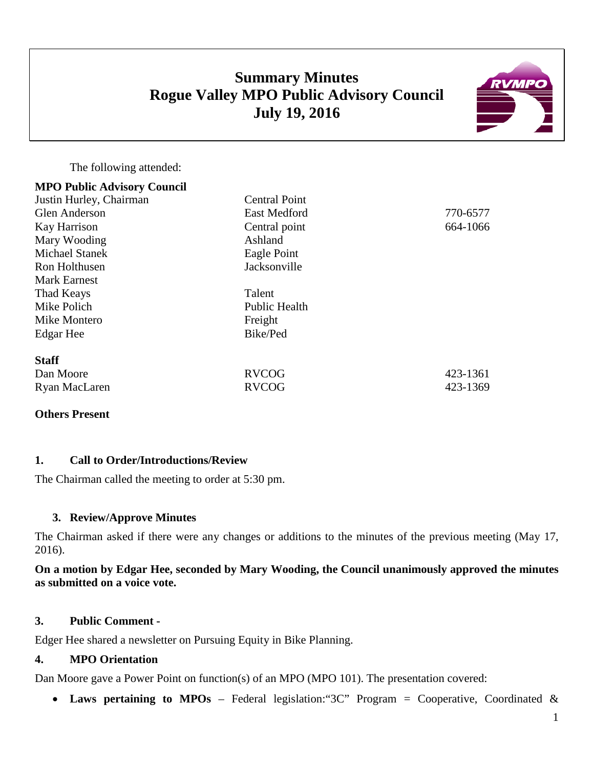# **Summary Minutes Rogue Valley MPO Public Advisory Council July 19, 2016**



The following attended:

| <b>MPO Public Advisory Council</b> |                      |          |
|------------------------------------|----------------------|----------|
| Justin Hurley, Chairman            | <b>Central Point</b> |          |
| <b>Glen Anderson</b>               | <b>East Medford</b>  | 770-6577 |
| Kay Harrison                       | Central point        | 664-1066 |
| Mary Wooding                       | Ashland              |          |
| <b>Michael Stanek</b>              | Eagle Point          |          |
| Ron Holthusen                      | Jacksonville         |          |
| <b>Mark Earnest</b>                |                      |          |
| Thad Keays                         | Talent               |          |
| Mike Polich                        | <b>Public Health</b> |          |
| Mike Montero                       | Freight              |          |
| Edgar Hee                          | Bike/Ped             |          |
| <b>Staff</b>                       |                      |          |
| Dan Moore                          | <b>RVCOG</b>         | 423-1361 |
| Ryan MacLaren                      | <b>RVCOG</b>         | 423-1369 |

### **Others Present**

#### **1. Call to Order/Introductions/Review**

The Chairman called the meeting to order at 5:30 pm.

### **3. Review/Approve Minutes**

The Chairman asked if there were any changes or additions to the minutes of the previous meeting (May 17, 2016).

### **On a motion by Edgar Hee, seconded by Mary Wooding, the Council unanimously approved the minutes as submitted on a voice vote.**

#### **3. Public Comment -**

Edger Hee shared a newsletter on Pursuing Equity in Bike Planning.

## **4. MPO Orientation**

Dan Moore gave a Power Point on function(s) of an MPO (MPO 101). The presentation covered:

• **Laws pertaining to MPOs** – Federal legislation:"3C" Program = Cooperative, Coordinated &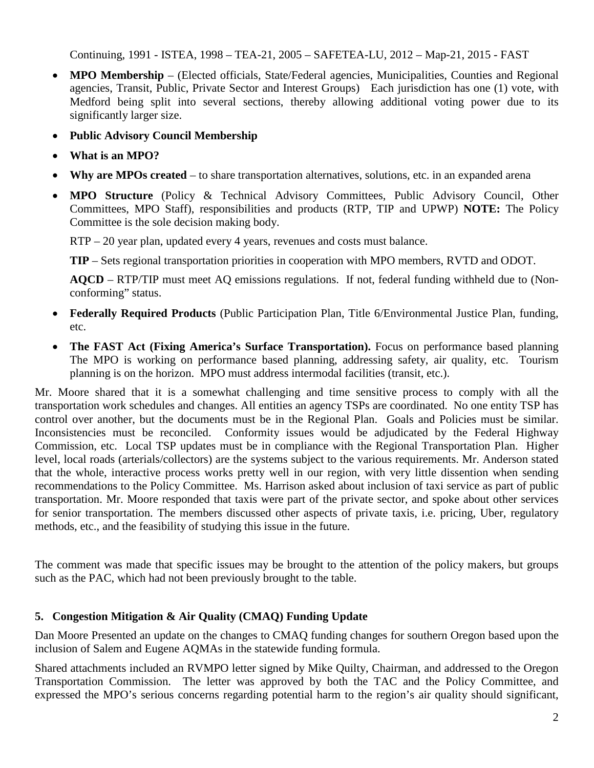Continuing, 1991 - ISTEA, 1998 – TEA-21, 2005 – SAFETEA-LU, 2012 – Map-21, 2015 - FAST

- **MPO Membership** (Elected officials, State/Federal agencies, Municipalities, Counties and Regional agencies, Transit, Public, Private Sector and Interest Groups) Each jurisdiction has one (1) vote, with Medford being split into several sections, thereby allowing additional voting power due to its significantly larger size.
- **Public Advisory Council Membership**
- **What is an MPO?**
- **Why are MPOs created** to share transportation alternatives, solutions, etc. in an expanded arena
- **MPO Structure** (Policy & Technical Advisory Committees, Public Advisory Council, Other Committees, MPO Staff), responsibilities and products (RTP, TIP and UPWP) **NOTE:** The Policy Committee is the sole decision making body.

RTP – 20 year plan, updated every 4 years, revenues and costs must balance.

**TIP** – Sets regional transportation priorities in cooperation with MPO members, RVTD and ODOT.

**AQCD** – RTP/TIP must meet AQ emissions regulations. If not, federal funding withheld due to (Nonconforming" status.

- **Federally Required Products** (Public Participation Plan, Title 6/Environmental Justice Plan, funding, etc.
- **The FAST Act (Fixing America's Surface Transportation).** Focus on performance based planning The MPO is working on performance based planning, addressing safety, air quality, etc. Tourism planning is on the horizon. MPO must address intermodal facilities (transit, etc.).

Mr. Moore shared that it is a somewhat challenging and time sensitive process to comply with all the transportation work schedules and changes. All entities an agency TSPs are coordinated. No one entity TSP has control over another, but the documents must be in the Regional Plan. Goals and Policies must be similar. Inconsistencies must be reconciled. Conformity issues would be adjudicated by the Federal Highway Commission, etc. Local TSP updates must be in compliance with the Regional Transportation Plan. Higher level, local roads (arterials/collectors) are the systems subject to the various requirements. Mr. Anderson stated that the whole, interactive process works pretty well in our region, with very little dissention when sending recommendations to the Policy Committee. Ms. Harrison asked about inclusion of taxi service as part of public transportation. Mr. Moore responded that taxis were part of the private sector, and spoke about other services for senior transportation. The members discussed other aspects of private taxis, i.e. pricing, Uber, regulatory methods, etc., and the feasibility of studying this issue in the future.

The comment was made that specific issues may be brought to the attention of the policy makers, but groups such as the PAC, which had not been previously brought to the table.

# **5. Congestion Mitigation & Air Quality (CMAQ) Funding Update**

Dan Moore Presented an update on the changes to CMAQ funding changes for southern Oregon based upon the inclusion of Salem and Eugene AQMAs in the statewide funding formula.

Shared attachments included an RVMPO letter signed by Mike Quilty, Chairman, and addressed to the Oregon Transportation Commission. The letter was approved by both the TAC and the Policy Committee, and expressed the MPO's serious concerns regarding potential harm to the region's air quality should significant,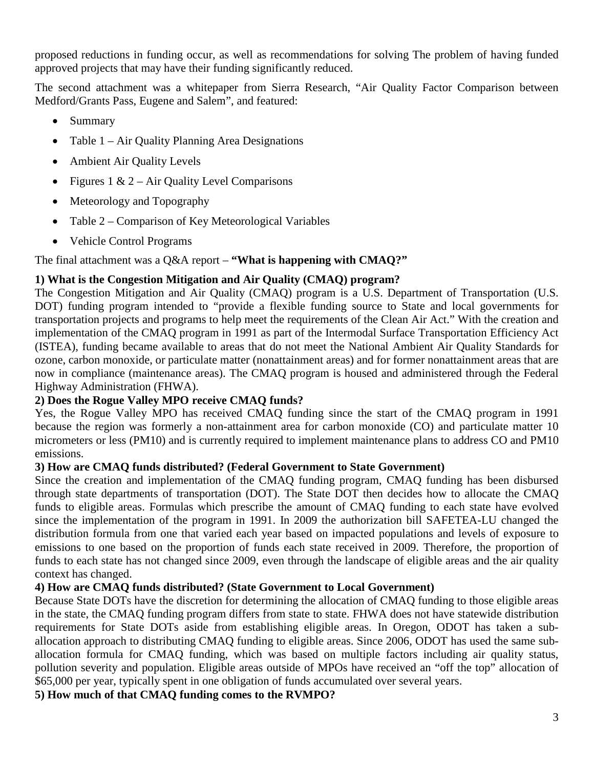proposed reductions in funding occur, as well as recommendations for solving The problem of having funded approved projects that may have their funding significantly reduced.

The second attachment was a whitepaper from Sierra Research, "Air Quality Factor Comparison between Medford/Grants Pass, Eugene and Salem", and featured:

- Summary
- Table 1 Air Quality Planning Area Designations
- Ambient Air Quality Levels
- Figures 1 & 2 Air Quality Level Comparisons
- Meteorology and Topography
- Table 2 Comparison of Key Meteorological Variables
- Vehicle Control Programs

The final attachment was a Q&A report – **"What is happening with CMAQ?"**

# **1) What is the Congestion Mitigation and Air Quality (CMAQ) program?**

The Congestion Mitigation and Air Quality (CMAQ) program is a U.S. Department of Transportation (U.S. DOT) funding program intended to "provide a flexible funding source to State and local governments for transportation projects and programs to help meet the requirements of the Clean Air Act." With the creation and implementation of the CMAQ program in 1991 as part of the Intermodal Surface Transportation Efficiency Act (ISTEA), funding became available to areas that do not meet the National Ambient Air Quality Standards for ozone, carbon monoxide, or particulate matter (nonattainment areas) and for former nonattainment areas that are now in compliance (maintenance areas). The CMAQ program is housed and administered through the Federal Highway Administration (FHWA).

# **2) Does the Rogue Valley MPO receive CMAQ funds?**

Yes, the Rogue Valley MPO has received CMAQ funding since the start of the CMAQ program in 1991 because the region was formerly a non-attainment area for carbon monoxide (CO) and particulate matter 10 micrometers or less (PM10) and is currently required to implement maintenance plans to address CO and PM10 emissions.

# **3) How are CMAQ funds distributed? (Federal Government to State Government)**

Since the creation and implementation of the CMAQ funding program, CMAQ funding has been disbursed through state departments of transportation (DOT). The State DOT then decides how to allocate the CMAQ funds to eligible areas. Formulas which prescribe the amount of CMAQ funding to each state have evolved since the implementation of the program in 1991. In 2009 the authorization bill SAFETEA-LU changed the distribution formula from one that varied each year based on impacted populations and levels of exposure to emissions to one based on the proportion of funds each state received in 2009. Therefore, the proportion of funds to each state has not changed since 2009, even through the landscape of eligible areas and the air quality context has changed.

# **4) How are CMAQ funds distributed? (State Government to Local Government)**

Because State DOTs have the discretion for determining the allocation of CMAQ funding to those eligible areas in the state, the CMAQ funding program differs from state to state. FHWA does not have statewide distribution requirements for State DOTs aside from establishing eligible areas. In Oregon, ODOT has taken a suballocation approach to distributing CMAQ funding to eligible areas. Since 2006, ODOT has used the same suballocation formula for CMAQ funding, which was based on multiple factors including air quality status, pollution severity and population. Eligible areas outside of MPOs have received an "off the top" allocation of \$65,000 per year, typically spent in one obligation of funds accumulated over several years.

**5) How much of that CMAQ funding comes to the RVMPO?**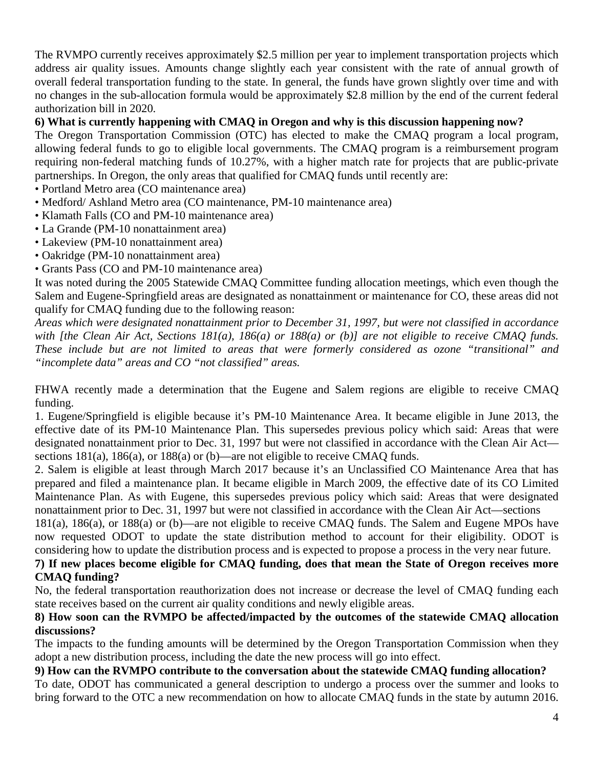The RVMPO currently receives approximately \$2.5 million per year to implement transportation projects which address air quality issues. Amounts change slightly each year consistent with the rate of annual growth of overall federal transportation funding to the state. In general, the funds have grown slightly over time and with no changes in the sub-allocation formula would be approximately \$2.8 million by the end of the current federal authorization bill in 2020.

## **6) What is currently happening with CMAQ in Oregon and why is this discussion happening now?**

The Oregon Transportation Commission (OTC) has elected to make the CMAQ program a local program, allowing federal funds to go to eligible local governments. The CMAQ program is a reimbursement program requiring non-federal matching funds of 10.27%, with a higher match rate for projects that are public-private partnerships. In Oregon, the only areas that qualified for CMAQ funds until recently are:

- Portland Metro area (CO maintenance area)
- Medford/ Ashland Metro area (CO maintenance, PM-10 maintenance area)
- Klamath Falls (CO and PM-10 maintenance area)
- La Grande (PM-10 nonattainment area)
- Lakeview (PM-10 nonattainment area)
- Oakridge (PM-10 nonattainment area)
- Grants Pass (CO and PM-10 maintenance area)

It was noted during the 2005 Statewide CMAQ Committee funding allocation meetings, which even though the Salem and Eugene-Springfield areas are designated as nonattainment or maintenance for CO, these areas did not qualify for CMAQ funding due to the following reason:

*Areas which were designated nonattainment prior to December 31, 1997, but were not classified in accordance*  with [the Clean Air Act, Sections 181(a), 186(a) or 188(a) or (b)] are not eligible to receive CMAQ funds. *These include but are not limited to areas that were formerly considered as ozone "transitional" and "incomplete data" areas and CO "not classified" areas.*

FHWA recently made a determination that the Eugene and Salem regions are eligible to receive CMAQ funding.

1. Eugene/Springfield is eligible because it's PM-10 Maintenance Area. It became eligible in June 2013, the effective date of its PM-10 Maintenance Plan. This supersedes previous policy which said: Areas that were designated nonattainment prior to Dec. 31, 1997 but were not classified in accordance with the Clean Air Act sections 181(a), 186(a), or 188(a) or (b)—are not eligible to receive CMAQ funds.

2. Salem is eligible at least through March 2017 because it's an Unclassified CO Maintenance Area that has prepared and filed a maintenance plan. It became eligible in March 2009, the effective date of its CO Limited Maintenance Plan. As with Eugene, this supersedes previous policy which said: Areas that were designated nonattainment prior to Dec. 31, 1997 but were not classified in accordance with the Clean Air Act—sections

181(a), 186(a), or 188(a) or (b)—are not eligible to receive CMAQ funds. The Salem and Eugene MPOs have now requested ODOT to update the state distribution method to account for their eligibility. ODOT is considering how to update the distribution process and is expected to propose a process in the very near future.

#### **7) If new places become eligible for CMAQ funding, does that mean the State of Oregon receives more CMAQ funding?**

No, the federal transportation reauthorization does not increase or decrease the level of CMAQ funding each state receives based on the current air quality conditions and newly eligible areas.

### **8) How soon can the RVMPO be affected/impacted by the outcomes of the statewide CMAQ allocation discussions?**

The impacts to the funding amounts will be determined by the Oregon Transportation Commission when they adopt a new distribution process, including the date the new process will go into effect.

# **9) How can the RVMPO contribute to the conversation about the statewide CMAQ funding allocation?**

To date, ODOT has communicated a general description to undergo a process over the summer and looks to bring forward to the OTC a new recommendation on how to allocate CMAQ funds in the state by autumn 2016.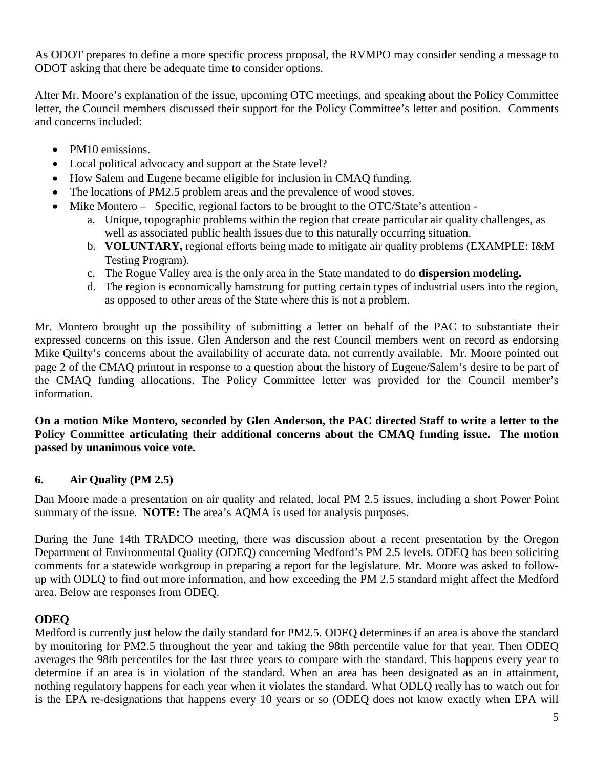As ODOT prepares to define a more specific process proposal, the RVMPO may consider sending a message to ODOT asking that there be adequate time to consider options.

After Mr. Moore's explanation of the issue, upcoming OTC meetings, and speaking about the Policy Committee letter, the Council members discussed their support for the Policy Committee's letter and position. Comments and concerns included:

- PM10 emissions.
- Local political advocacy and support at the State level?
- How Salem and Eugene became eligible for inclusion in CMAQ funding.
- The locations of PM2.5 problem areas and the prevalence of wood stoves.
- Mike Montero Specific, regional factors to be brought to the OTC/State's attention
	- a. Unique, topographic problems within the region that create particular air quality challenges, as well as associated public health issues due to this naturally occurring situation.
	- b. **VOLUNTARY,** regional efforts being made to mitigate air quality problems (EXAMPLE: I&M Testing Program).
	- c. The Rogue Valley area is the only area in the State mandated to do **dispersion modeling.**
	- d. The region is economically hamstrung for putting certain types of industrial users into the region, as opposed to other areas of the State where this is not a problem.

Mr. Montero brought up the possibility of submitting a letter on behalf of the PAC to substantiate their expressed concerns on this issue. Glen Anderson and the rest Council members went on record as endorsing Mike Quilty's concerns about the availability of accurate data, not currently available. Mr. Moore pointed out page 2 of the CMAQ printout in response to a question about the history of Eugene/Salem's desire to be part of the CMAQ funding allocations. The Policy Committee letter was provided for the Council member's information.

#### **On a motion Mike Montero, seconded by Glen Anderson, the PAC directed Staff to write a letter to the Policy Committee articulating their additional concerns about the CMAQ funding issue. The motion passed by unanimous voice vote.**

# **6. Air Quality (PM 2.5)**

Dan Moore made a presentation on air quality and related, local PM 2.5 issues, including a short Power Point summary of the issue. **NOTE:** The area's AQMA is used for analysis purposes.

During the June 14th TRADCO meeting, there was discussion about a recent presentation by the Oregon Department of Environmental Quality (ODEQ) concerning Medford's PM 2.5 levels. ODEQ has been soliciting comments for a statewide workgroup in preparing a report for the legislature. Mr. Moore was asked to followup with ODEQ to find out more information, and how exceeding the PM 2.5 standard might affect the Medford area. Below are responses from ODEQ.

# **ODEQ**

Medford is currently just below the daily standard for PM2.5. ODEQ determines if an area is above the standard by monitoring for PM2.5 throughout the year and taking the 98th percentile value for that year. Then ODEQ averages the 98th percentiles for the last three years to compare with the standard. This happens every year to determine if an area is in violation of the standard. When an area has been designated as an in attainment, nothing regulatory happens for each year when it violates the standard. What ODEQ really has to watch out for is the EPA re-designations that happens every 10 years or so (ODEQ does not know exactly when EPA will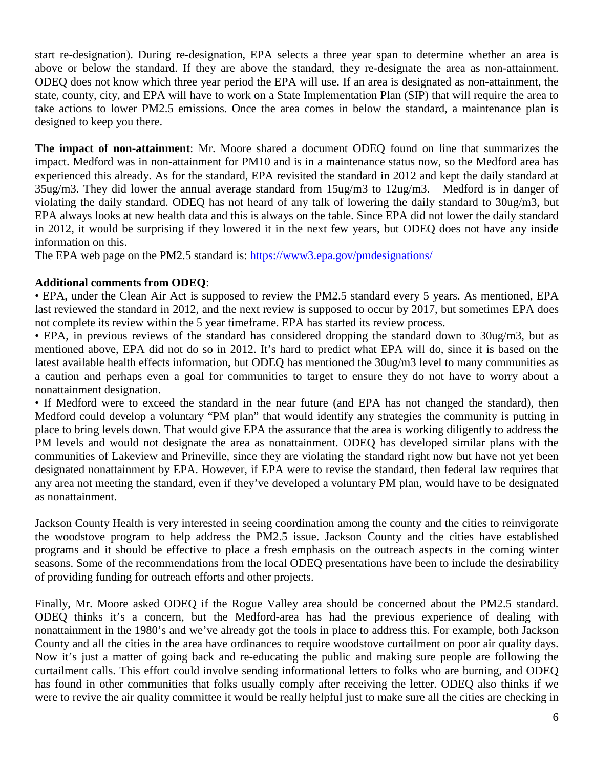start re-designation). During re-designation, EPA selects a three year span to determine whether an area is above or below the standard. If they are above the standard, they re-designate the area as non-attainment. ODEQ does not know which three year period the EPA will use. If an area is designated as non-attainment, the state, county, city, and EPA will have to work on a State Implementation Plan (SIP) that will require the area to take actions to lower PM2.5 emissions. Once the area comes in below the standard, a maintenance plan is designed to keep you there.

**The impact of non-attainment**: Mr. Moore shared a document ODEQ found on line that summarizes the impact. Medford was in non-attainment for PM10 and is in a maintenance status now, so the Medford area has experienced this already. As for the standard, EPA revisited the standard in 2012 and kept the daily standard at 35ug/m3. They did lower the annual average standard from 15ug/m3 to 12ug/m3. Medford is in danger of violating the daily standard. ODEQ has not heard of any talk of lowering the daily standard to 30ug/m3, but EPA always looks at new health data and this is always on the table. Since EPA did not lower the daily standard in 2012, it would be surprising if they lowered it in the next few years, but ODEQ does not have any inside information on this.

The EPA web page on the PM2.5 standard is: https://www3.epa.gov/pmdesignations/

### **Additional comments from ODEQ**:

• EPA, under the Clean Air Act is supposed to review the PM2.5 standard every 5 years. As mentioned, EPA last reviewed the standard in 2012, and the next review is supposed to occur by 2017, but sometimes EPA does not complete its review within the 5 year timeframe. EPA has started its review process.

• EPA, in previous reviews of the standard has considered dropping the standard down to 30ug/m3, but as mentioned above, EPA did not do so in 2012. It's hard to predict what EPA will do, since it is based on the latest available health effects information, but ODEQ has mentioned the 30ug/m3 level to many communities as a caution and perhaps even a goal for communities to target to ensure they do not have to worry about a nonattainment designation.

• If Medford were to exceed the standard in the near future (and EPA has not changed the standard), then Medford could develop a voluntary "PM plan" that would identify any strategies the community is putting in place to bring levels down. That would give EPA the assurance that the area is working diligently to address the PM levels and would not designate the area as nonattainment. ODEQ has developed similar plans with the communities of Lakeview and Prineville, since they are violating the standard right now but have not yet been designated nonattainment by EPA. However, if EPA were to revise the standard, then federal law requires that any area not meeting the standard, even if they've developed a voluntary PM plan, would have to be designated as nonattainment.

Jackson County Health is very interested in seeing coordination among the county and the cities to reinvigorate the woodstove program to help address the PM2.5 issue. Jackson County and the cities have established programs and it should be effective to place a fresh emphasis on the outreach aspects in the coming winter seasons. Some of the recommendations from the local ODEQ presentations have been to include the desirability of providing funding for outreach efforts and other projects.

Finally, Mr. Moore asked ODEQ if the Rogue Valley area should be concerned about the PM2.5 standard. ODEQ thinks it's a concern, but the Medford-area has had the previous experience of dealing with nonattainment in the 1980's and we've already got the tools in place to address this. For example, both Jackson County and all the cities in the area have ordinances to require woodstove curtailment on poor air quality days. Now it's just a matter of going back and re-educating the public and making sure people are following the curtailment calls. This effort could involve sending informational letters to folks who are burning, and ODEQ has found in other communities that folks usually comply after receiving the letter. ODEQ also thinks if we were to revive the air quality committee it would be really helpful just to make sure all the cities are checking in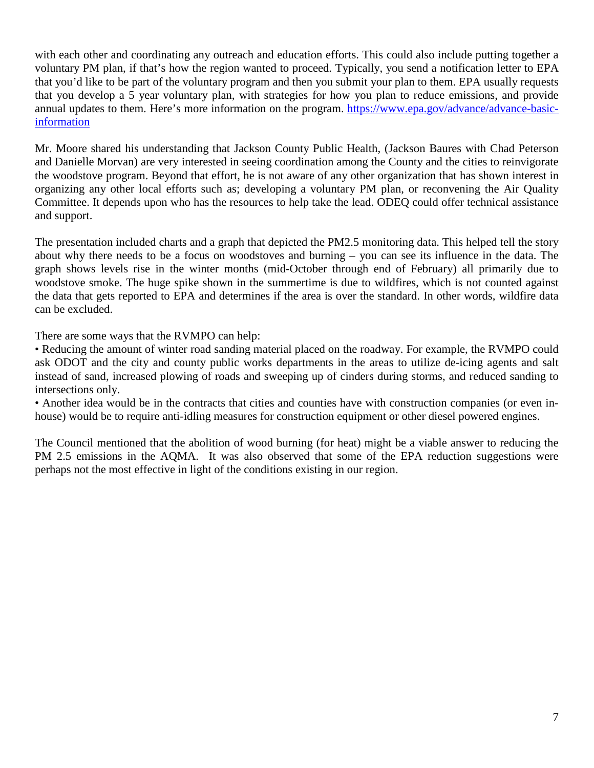with each other and coordinating any outreach and education efforts. This could also include putting together a voluntary PM plan, if that's how the region wanted to proceed. Typically, you send a notification letter to EPA that you'd like to be part of the voluntary program and then you submit your plan to them. EPA usually requests that you develop a 5 year voluntary plan, with strategies for how you plan to reduce emissions, and provide annual updates to them. Here's more information on the program. [https://www.epa.gov/advance/advance-basic](https://www.epa.gov/advance/advance-basic-information)[information](https://www.epa.gov/advance/advance-basic-information)

Mr. Moore shared his understanding that Jackson County Public Health, (Jackson Baures with Chad Peterson and Danielle Morvan) are very interested in seeing coordination among the County and the cities to reinvigorate the woodstove program. Beyond that effort, he is not aware of any other organization that has shown interest in organizing any other local efforts such as; developing a voluntary PM plan, or reconvening the Air Quality Committee. It depends upon who has the resources to help take the lead. ODEQ could offer technical assistance and support.

The presentation included charts and a graph that depicted the PM2.5 monitoring data. This helped tell the story about why there needs to be a focus on woodstoves and burning – you can see its influence in the data. The graph shows levels rise in the winter months (mid-October through end of February) all primarily due to woodstove smoke. The huge spike shown in the summertime is due to wildfires, which is not counted against the data that gets reported to EPA and determines if the area is over the standard. In other words, wildfire data can be excluded.

There are some ways that the RVMPO can help:

• Reducing the amount of winter road sanding material placed on the roadway. For example, the RVMPO could ask ODOT and the city and county public works departments in the areas to utilize de-icing agents and salt instead of sand, increased plowing of roads and sweeping up of cinders during storms, and reduced sanding to intersections only.

• Another idea would be in the contracts that cities and counties have with construction companies (or even inhouse) would be to require anti-idling measures for construction equipment or other diesel powered engines.

The Council mentioned that the abolition of wood burning (for heat) might be a viable answer to reducing the PM 2.5 emissions in the AQMA. It was also observed that some of the EPA reduction suggestions were perhaps not the most effective in light of the conditions existing in our region.